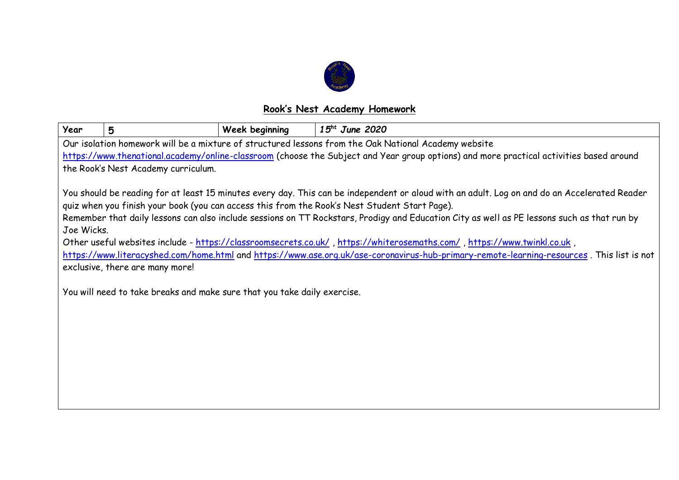

## **Rook's Nest Academy Homework**

| Year                                                                                                                                                                                                                                                                                                                                                                                                                                                                                                                                                                                                                                                                                                                                                                                              | 5 | <b>Week beginning</b> | $15^{ht}$ June 2020 |  |  |  |  |  |
|---------------------------------------------------------------------------------------------------------------------------------------------------------------------------------------------------------------------------------------------------------------------------------------------------------------------------------------------------------------------------------------------------------------------------------------------------------------------------------------------------------------------------------------------------------------------------------------------------------------------------------------------------------------------------------------------------------------------------------------------------------------------------------------------------|---|-----------------------|---------------------|--|--|--|--|--|
| Our isolation homework will be a mixture of structured lessons from the Oak National Academy website                                                                                                                                                                                                                                                                                                                                                                                                                                                                                                                                                                                                                                                                                              |   |                       |                     |  |  |  |  |  |
| https://www.thenational.academy/online-classroom (choose the Subject and Year group options) and more practical activities based around                                                                                                                                                                                                                                                                                                                                                                                                                                                                                                                                                                                                                                                           |   |                       |                     |  |  |  |  |  |
| the Rook's Nest Academy curriculum.                                                                                                                                                                                                                                                                                                                                                                                                                                                                                                                                                                                                                                                                                                                                                               |   |                       |                     |  |  |  |  |  |
| You should be reading for at least 15 minutes every day. This can be independent or aloud with an adult. Log on and do an Accelerated Reader<br>quiz when you finish your book (you can access this from the Rook's Nest Student Start Page).<br>Remember that daily lessons can also include sessions on TT Rockstars, Prodigy and Education City as well as PE lessons such as that run by<br>Joe Wicks.<br>Other useful websites include - https://classroomsecrets.co.uk/, https://whiterosemaths.com/, https://www.twinkl.co.uk,<br>https://www.literacyshed.com/home.html and https://www.ase.org.uk/ase-coronavirus-hub-primary-remote-learning-resources. This list is not<br>exclusive, there are many more!<br>You will need to take breaks and make sure that you take daily exercise. |   |                       |                     |  |  |  |  |  |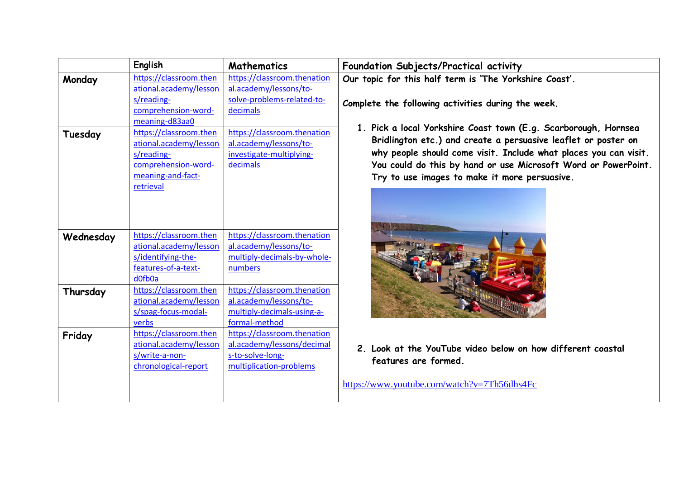|           | English                                                                                                                 | <b>Mathematics</b>                                                                                       |  |
|-----------|-------------------------------------------------------------------------------------------------------------------------|----------------------------------------------------------------------------------------------------------|--|
| Monday    | https://classroom.then<br>ational.academy/lesson<br>s/reading-<br>comprehension-word-<br>meaning-d83aa0                 | https://classroom.thenation<br>al.academy/lessons/to-<br>solve-problems-related-to-<br>decimals          |  |
| Tuesday   | https://classroom.then<br>ational.academy/lesson<br>s/reading-<br>comprehension-word-<br>meaning-and-fact-<br>retrieval | https://classroom.thenation<br>al.academy/lessons/to-<br>investigate-multiplying-<br>decimals            |  |
| Wednesday | https://classroom.then<br>ational.academy/lesson<br>s/identifying-the-<br>features-of-a-text-<br>d0fb0a                 | https://classroom.thenation<br>al.academy/lessons/to-<br>multiply-decimals-by-whole-<br>numbers          |  |
| Thursday  | https://classroom.then<br>ational.academy/lesson<br>s/spag-focus-modal-<br>verbs                                        | https://classroom.thenation<br>al.academy/lessons/to-<br>multiply-decimals-using-a-<br>formal-method     |  |
| Friday    | https://classroom.then<br>ational.academy/lesson<br>s/write-a-non-<br>chronological-report                              | https://classroom.thenation<br>al.academy/lessons/decimal<br>s-to-solve-long-<br>multiplication-problems |  |

**English Mathematics Foundation Subjects/Practical activity Our topic for this half term is 'The Yorkshire Coast'.**

**Complete the following activities during the week.**

**1. Pick a local Yorkshire Coast town (E.g. Scarborough, Hornsea Bridlington etc.) and create a persuasive leaflet or poster on why people should come visit. Include what places you can visit. You could do this by hand or use Microsoft Word or PowerPoint. Try to use images to make it more persuasive.**



**2. Look at the YouTube video below on how different coastal features are formed.** 

<https://www.youtube.com/watch?v=7Th56dhs4Fc>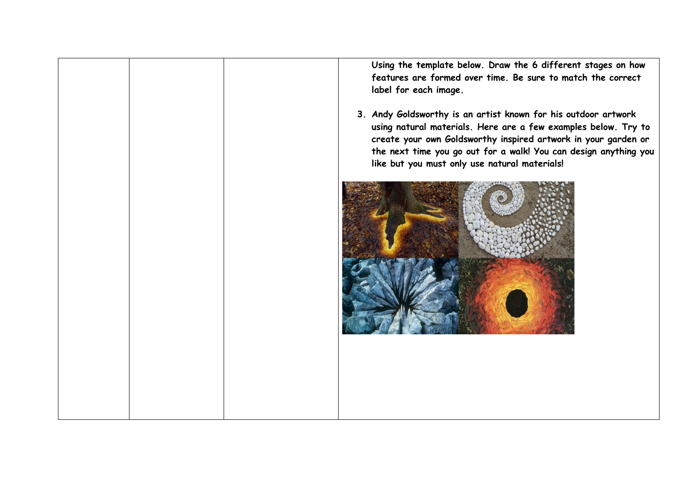**Using the template below. Draw the 6 different stages on how features are formed over time. Be sure to match the correct label for each image.**

**3. Andy Goldsworthy is an artist known for his outdoor artwork using natural materials. Here are a few examples below. Try to create your own Goldsworthy inspired artwork in your garden or the next time you go out for a walk! You can design anything you like but you must only use natural materials!** 

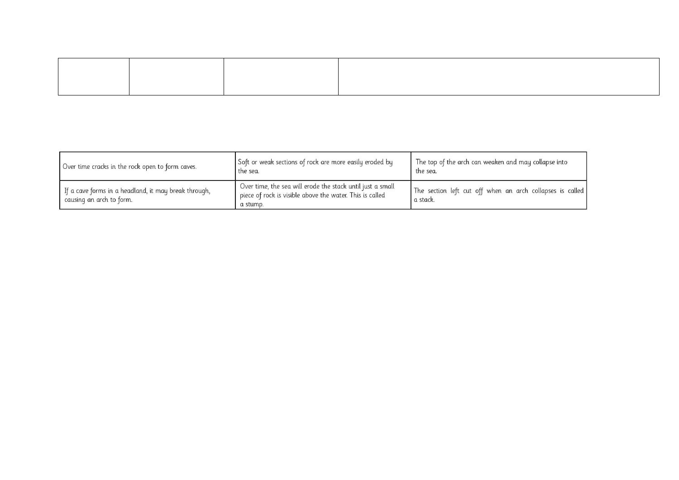| Over time cracks in the rock open to form caves.                                 | Soft or weak sections of rock are more easily eroded by<br>the sea.                                                                | The top of the arch can weaken and may collapse into<br>the sea.      |
|----------------------------------------------------------------------------------|------------------------------------------------------------------------------------------------------------------------------------|-----------------------------------------------------------------------|
| If a cave forms in a headland, it may break through,<br>causing an arch to form. | Over time, the sea will erode the stack until just a small<br>piece of rock is visible above the water. This is called<br>a stump. | The section left cut off when an arch collapses is called<br>a stack. |